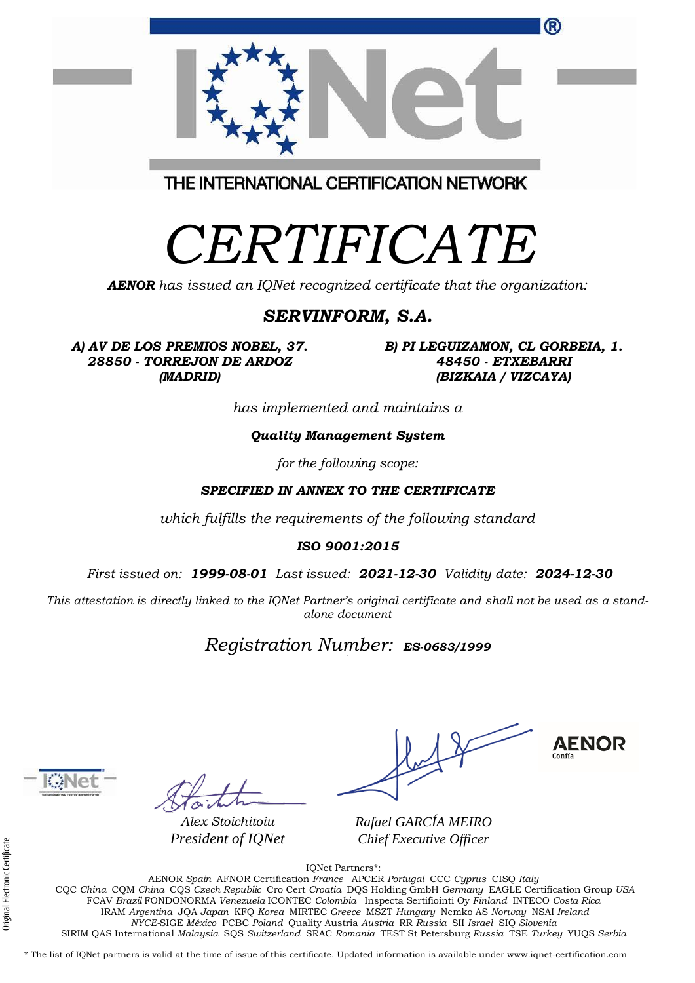| ®                                                                                             |
|-----------------------------------------------------------------------------------------------|
|                                                                                               |
| THE INTERNATIONAL CERTIFICATION NETWORK                                                       |
| CERTIFICATE<br><b>AENOR</b> has issued an IQNet recognized certificate that the organization: |

### *SERVINFORM, S.A.*

*A) AV DE LOS PREMIOS NOBEL, 37. 28850 - TORREJON DE ARDOZ (MADRID)*

*B) PI LEGUIZAMON, CL GORBEIA, 1. 48450 - ETXEBARRI (BIZKAIA / VIZCAYA)*

*has implemented and maintains a*

#### *Quality Management System*

*for the following scope:* 

### *SPECIFIED IN ANNEX TO THE CERTIFICATE*

*which fulfills the requirements of the following standard*

#### *ISO 9001:2015*

*First issued on: 1999-08-01 Last issued: 2021-12-30 Validity date: 2024-12-30*

*This attestation is directly linked to the IQNet Partner's original certificate and shall not be used as a standalone document*

## *Registration Number: ES-0683/1999*



*Alex Stoichitoiu President of IQNet*

**AENOR** 

*Rafael GARCÍA MEIRO Chief Executive Officer*

IQNet Partners\*:

AENOR *Spain* AFNOR Certification *France* APCER *Portugal* CCC *Cyprus* CISQ *Italy* CQC *China* CQM *China* CQS *Czech Republic* Cro Cert *Croatia* DQS Holding GmbH *Germany* EAGLE Certification Group *USA* FCAV *Brazil* FONDONORMA *Venezuela* ICONTEC *Colombia* Inspecta Sertifiointi Oy *Finland* INTECO *Costa Rica* IRAM *Argentina* JQA *Japan* KFQ *Korea* MIRTEC *Greece* MSZT *Hungary* Nemko AS *Norway* NSAI *Ireland NYCE-*SIGE *México* PCBC *Poland* Quality Austria *Austria* RR *Russia* SII *Israel* SIQ *Slovenia*  SIRIM QAS International *Malaysia* SQS *Switzerland* SRAC *Romania* TEST St Petersburg *Russia* TSE *Turkey* YUQS *Serbia*

\* The list of IQNet partners is valid at the time of issue of this certificate. Updated information is available under www.iqnet-certification.com